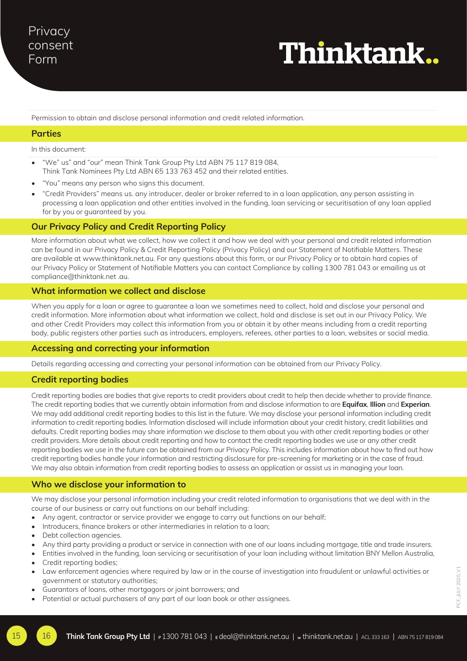# Thinktank..

Permission to obtain and disclose personal information and credit related information.

# **Parties**

In this document:

- "We" us" and "our" mean Think Tank Group Pty Ltd ABN 75 117 819 084, Think Tank Nominees Pty Ltd ABN 65 133 763 452 and their related entities.
- "You" means any person who signs this document.
- "Credit Providers" means us. any introducer, dealer or broker referred to in a loan application, any person assisting in processing a loan application and other entities involved in the funding, loan servicing or securitisation of any loan applied for by you or guaranteed by you.

# **Our Privacy Policy and Credit Reporting Policy**

More information about what we collect, how we collect it and how we deal with your personal and credit related information can be found in our Privacy Policy & Credit Reporting Policy (Privacy Policy) and our Statement of Notifiable Matters. These are available at www.thinktank.net.au. For any questions about this form, or our Privacy Policy or to obtain hard copies of our Privacy Policy or Statement of Notifiable Matters you can contact Compliance by calling 1300 781 043 or emailing us at compliance@thinktank.net .au.

#### **What information we collect and disclose**

When you apply for a loan or agree to guarantee a loan we sometimes need to collect, hold and disclose your personal and credit information. More information about what information we collect, hold and disclose is set out in our Privacy Policy. We and other Credit Providers may collect this information from you or obtain it by other means including from a credit reporting body, public registers other parties such as introducers, employers, referees, other parties to a loan, websites or social media.

#### **Accessing and correcting your information**

Details regarding accessing and correcting your personal information can be obtained from our Privacy Policy.

# **Credit reporting bodies**

Credit reporting bodies are bodies that give reports to credit providers about credit to help then decide whether to provide finance. The credit reporting bodies that we currently obtain information from and disclose information to are **Equifax**, **Illion** and **Experian**. We may add additional credit reporting bodies to this list in the future. We may disclose your personal information including credit information to credit reporting bodies. Information disclosed will include information about your credit history, credit liabilities and defaults. Credit reporting bodies may share information we disclose to them about you with other credit reporting bodies or other credit providers. More details about credit reporting and how to contact the credit reporting bodies we use or any other credit reporting bodies we use in the future can be obtained from our Privacy Policy. This includes information about how to find out how credit reporting bodies handle your information and restricting disclosure for pre-screening for marketing or in the case of fraud. We may also obtain information from credit reporting bodies to assess an application or assist us in managing your loan.

# **Who we disclose your information to**

We may disclose your personal information including your credit related information to organisations that we deal with in the course of our business or carry out functions on our behalf including:

- Any agent, contractor or service provider we engage to carry out functions on our behalf;
- Introducers, finance brokers or other intermediaries in relation to a loan;
- Debt collection agencies.
- Any third party providing a product or service in connection with one of our loans including mortgage, title and trade insurers.
- Entities involved in the funding, loan servicing or securitisation of your loan including without limitation BNY Mellon Australia,
- Credit reporting bodies;
- Law enforcement agencies where required by law or in the course of investigation into fraudulent or unlawful activities or government or statutory authorities;
- Guarantors of loans, other mortgagors or joint borrowers; and
- Potential or actual purchasers of any part of our loan book or other assignees.

15 16